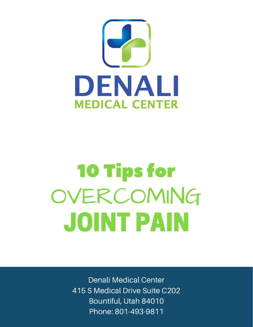

# 10 Tips for OVERCOMING JOINT PAIN

Denali Medical Center 415 S Medical Drive Suite C202 Bountiful, Utah 84010 Phone: 801-493-9811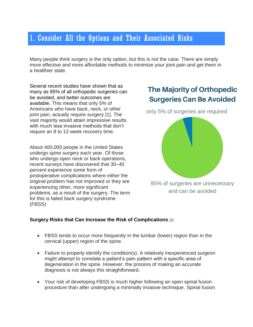# 1. Consider All the Options and Their Associated Risks

Many people think surgery is the only option, but this is not the case. There are simply more effective and more affordable methods to minimize your joint pain and get them in a healthier state.

Several recent studies have shown that as many as 95% of all orthopedic surgeries can be avoided, and better outcomes are available. This means that only 5% of Americans who have back, neck, or other joint pain, actually require surgery [1]. The vast majority would attain impressive results with much less invasive methods that don't require an 8 to 12-week recovery time.

About 400,000 people in the United States undergo spine surgery each year. Of those who undergo open neck or back operations, recent surveys have discovered that 30–40 percent experience some form of postoperative complications where either the original problem has not improved or they are experiencing other, more significant problems, as a result of the surgery. The term for this is failed back surgery syndrome (FBSS)

# **The Majority of Orthopedic Surgeries Can Be Avoided**

only 5% of surgeries are required



95% of surgeries are unnecessary and can be avoided

#### **Surgery Risks that Can Increase the Risk of Complications** [2]

- FBSS tends to occur more frequently in the lumbar (lower) region than in the cervical (upper) region of the spine.
- Failure to properly identify the condition(s). A relatively inexperienced surgeon might attempt to correlate a patient's pain pattern with a specific area of degeneration in the spine. However, the process of making an accurate diagnosis is not always this straightforward.
- Your risk of developing FBSS is much higher following an open spinal fusion procedure than after undergoing a minimally invasive technique. Spinal fusion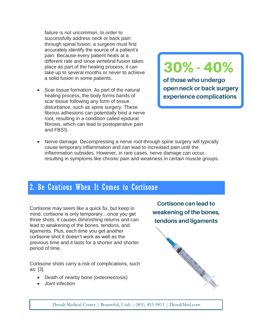failure is not uncommon. In order to successfully address neck or back pain through spinal fusion, a surgeon must first accurately identify the source of a patient's pain. Because every patient heals at a different rate and since vertebral fusion takes place as part of the healing process, it can take up to several months or never to achieve a solid fusion in some patients.

• Scar tissue formation. As part of the natural healing process, the body forms bands of scar tissue following any form of tissue disturbance, such as spine surgery. These fibrous adhesions can potentially bind a nerve root, resulting in a condition called epidural fibrosis, which can lead to postoperative pain and FBSS.

# 30% - 40%

of those who undergo open neck or back surgery experience complications

• Nerve damage. Decompressing a nerve root through spine surgery will typically cause temporary inflammation and can lead to increased pain until the inflammation subsides. However, in rare cases, nerve damage can occur, resulting in symptoms like chronic pain and weakness in certain muscle groups.

## 2. Be Cautious When It Comes to Cortisone

Cortisone may seem like a quick fix, but keep in mind, cortisone is only temporary…once you get three shots, it causes diminishing returns and can lead to weakening of the bones, tendons, and ligaments. Plus, each time you get another cortisone shot it doesn't work as well as the previous time and it lasts for a shorter and shorter period of time.

Cortisone shots carry a risk of complications, such as: [3]

- Death of nearby bone (osteonecrosis)
- Joint infection

Cortisone can lead to weakening of the bones, tendons and ligaments

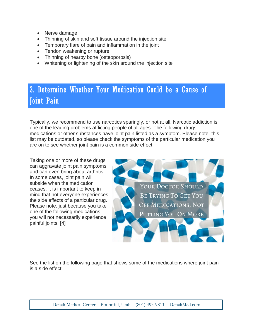- Nerve damage
- Thinning of skin and soft tissue around the injection site
- Temporary flare of pain and inflammation in the joint
- Tendon weakening or rupture
- Thinning of nearby bone (osteoporosis)
- Whitening or lightening of the skin around the injection site

# 3. Determine Whether Your Medication Could be a Cause of Joint Pain

Typically, we recommend to use narcotics sparingly, or not at all. Narcotic addiction is one of the leading problems afflicting people of all ages. The following drugs, medications or other substances have joint pain listed as a symptom. Please note, this list may be outdated, so please check the symptoms of the particular medication you are on to see whether joint pain is a common side effect.

Taking one or more of these drugs can aggravate joint pain symptoms and can even bring about arthritis. In some cases, joint pain will subside when the medication ceases. It is important to keep in mind that not everyone experiences the side effects of a particular drug. Please note, just because you take one of the following medications you will not necessarily experience painful joints. [4]



See the list on the following page that shows some of the medications where joint pain is a side effect.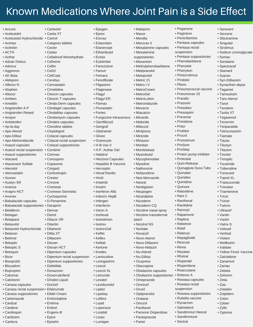# Known Medications Where Joint Pain is a Side Effect

• Maloprim • Maxor • Meridia • Meruvax II

• Mesalamine suppositories • Mesantoin

• Metipranolol • Metoprolol • Metric 21 • Metro I.V • MetroCream • MetroGel • MetroLotion • Metronidazole • Mevacor • Miacalcin • Micardis • Midoride • Milezzol • Minipress • Minizide • Mirtazon • Monitan • Montelukast • Myambutol • Mycophenolate • Mysoline • Naltrexone • Nefazodone • Neo-Mercazole • Neoral • Neotigason • Neupogen • Nicardipine • Nicoderm • Nicoderm CQ • Nicotine nasal spray • Nicotine transdermal

patch • Nicotrol NS • Noritate • Novacef • Novo-Atenol • Novo-Diltazem • Novo-Nidazol • Nu-Atenol • Nu-Diltiaz • Ocupress • Olanzapine

• Olsalazine capsules • Olsalazine suppositories

• Panixine Disperdose • Pantoprazole • Pariet

• Omeprazole • Omnicef • Onxol • Optipranolol • Oratane • Otrozol • Paclitaxel

• Mesalamine capsules

• Peganone • PegIntron • Penicillamine • Pentasa capsules • Pentasa rectal suspension

• Pentasa suppositories • Phenobarbitone • Phenytek • Phenytoin • Pimecrolimus • Pindolol • Plavix

• Pneumococcal vaccine • Pneumovax 23 • Prandin • Prazosin • Presoken • Presoquim • Prevenar • Primidone • Pritor • Probitor • Procrit • Prometrium • ProSom • ProStep

• Proton pump inhibitor

• Rowasa suppositories • Rubella vaccine • Rynacrom • Salmeterol • Sandimmun Neoral • Sandimmune • Sectral

• Protostat • Quin-Release • Quinaglute Dura-Tabs

• Quinalan • Quinidex • Quinidine • Quinora • Raloxifene • Rani 2 • Ranihexal • Ranitidine • Ranoxyl • Rapamune • Raptiva • Rebetron • Rebif • Relenza • Repaglinide • Rescula • Revia • Reyataz • Rhotral • Risperdal • Risperidone • Roaccutane • Roferon A • Rowasa capsules • Rowasa rectal suspension

• Methylphenobarbitone

• Serevent • Serzone • Sibutramine • Singulair • Sirolimus

• Somac • Soriatane • Spectracef • Stamaril • Suprax • Syn-Diltiazem • Synacthen depot • Tagamet • Tamsulosin • Taro-Atenol • Taxol • Taxotere • Taztia XT • Tegaserod • Tenormin • Teriparatide • Tetrocosactrin • Tiamate • Tiazac • Tikosyn • Tilazem • Timolol • Timoptic • Tocainide • Tolterodine • Tonocard • Toprol-XL • Trastuzumab • Travatan • Triamterene • Tricor • Trizivir • Twinrix • Ultracef • Vantin • Vastin • Vatrix-S • Velosef • Vertisal • Visken • Wellbutrin • Xalatan

• Sodium cromoglycate

• Yellow Fever Vaccine

• Zalcitabine • Zanamivir • Zantac • Zebeta • Zelnorm • Zetia • Ziac • Zoladex • Zolpidem • Zoton • Zyban • Zyflo • Zyprexa

• Epogen • Eprex • Erevax • Estazolam • Etanercept • Ethambutol • Evista • Ezetimibe • Famciclovir • Famvir • Femara • Fenofibrate • Filgastrim • Flagenase • Flagyl • Flagyl ER • Flomax • Fluvastatin • Forteo

• Fungizone Intravenous

• Hectorol Capsules • Hepatitis B Vaccine

• Herceptin • Hexal Ranitic • Hivid • Imatinib • Imukin • Inerferon Alfa • Infanrix HepB • Infergen • Interferon • Intron A • Isohexal • Isotretinoin • Isotrex • IsotrexGel • Keflet • Keflex • Keftab • Kerlone • Kredex • Lamivudine • Lenogastrim • Lescol • Lescol XL • Letrozole • Levatol • Levobunolol • Lipitor • Lipobay • Lofibra • Lopid • Lopressor • Lorabid • Losec • Lumigan

• Gemfibrozil • Gengraf • Glatiramer • Glivec • Granocyte • H-B-Vax II • H.P. Acthar Gel • Habitrol

• Accure

- Acebutolol
- Acebutolol Hydrochloride Cartrol
- Acimax
- Acitretin
- ACTH
- Acthar
- Advair Diskus
- Advicor
- Aggrenox
- AK Beta
- Aldopren
- Alferon N
- Alophen
- Altocor
- Ambien
- Ameblin
- Angiotrofen A.P
- Angiotrofen Retard
- Anspor
- Antiotrofen
- Ap-la-day
- Apo-Atenol
- Apo-Diltiaz
- Apo-Metronidazole
- Asacol capsules
- Asacol rectal suspension Combivir
- Asacol suppositories
- Atacand
- Atazanavir Sulfate
- Atenolol
- Atorvastatin
- Ausran
- Austyn SR
- Avanza • Avapro HCT
- Avonex
- Balsalazide capsules
- Balsalazide suppositories Daraprim
- Betaferon
- Betagan
- Betapace
- Betaxolol
- Betaxolol Hydrochloride
- Betaxon
- Betimol • Betoptic
- Betoptic S
- Betoquin
- Bicor
- Bisoprolol
- Blocadren
- Bupropion
- Calcimar
- Calcitonin
- Canasa capsules
- Canasa rectal suspension Efalizumab
- Canasa suppositories • Elidel Cream
- Carbimazole • Emtricitabine
- Cardcal
- Cardene
- Cardioquin
- Cardizem • Cardura
	-

• Cartia XT • Catapres tablets • Ceclor • Cedax

• Carteolol

- Cefadroxil Monohydrate
- Cefixime
- Ceftin
- 
- Cefzil
- CellCept
- Cerebyx
- Cerivastatin
- 
- Cimetidine
- Cleocin capsules
- Cleocin T capsules
- Clinda-Derm capsules
- Clindagel capsules
	- ClindaMax capsules
	- Clindamycin capsules
	- Clindets capsules
	- Clonidine tablets
	- Clopidogrel
	-
- Colazal capsules
- Colazal rectal suspension
- Colazal suppositories
- 
- Comvax
- Consupren
- 
- Copaxone
- Corgard
- Corticotropin
- Crestor
- Crinone
- Cromese
- Cromese Sterinebs
- Cyclosporine
- D-Penamine

• Denvar • Detrol • Dilacor XR • Dilantin • Dilatrend • Diltia XT • Diltiazem • Diovan • Diovan HCT • Dipentum capsules • Dipentum rectal suspension • Dipentum suppositories

• Dofetilide • Doxazosin • Doxercalciferol • Drisdol Liquid • Duricef

• Emtriva • Enbrel • Engerix-B • Epivir • Epoetin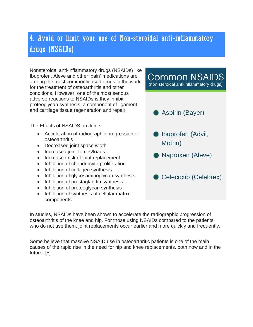# 4. Avoid or limit your use of Non-steroidal anti-inflammatory drugs (NSAIDs)

Nonsteroidal anti-inflammatory drugs (NSAIDs) like Ibuprofen, Aleve and other 'pain' medications are among the most commonly used drugs in the world for the treatment of osteoarthritis and other conditions. However, one of the most serious adverse reactions to NSAIDs is they inhibit proteoglycan synthesis, a component of ligament and cartilage tissue regeneration and repair.

The Effects of NSAIDS on Joints

- Acceleration of radiographic progression of osteoarthritis
- Decreased joint space width
- Increased joint forces/loads
- Increased risk of joint replacement
- Inhibition of chondrocyte proliferation
- Inhibition of collagen synthesis
- Inhibition of glycosaminoglycan synthesis
- Inhibition of prostaglandin synthesis
- Inhibition of proteoglycan synthesis
- Inhibition of synthesis of cellular matrix components

(non-steroidal anti-inflammatory drugs) Aspirin (Bayer) Ibuprofen (Advil, Motrin) Naproxen (Aleve) Celecoxib (Celebrex)

**Common NSAIDS** 

In studies, NSAIDs have been shown to accelerate the radiographic progression of osteoarthritis of the knee and hip. For those using NSAIDs compared to the patients who do not use them, joint replacements occur earlier and more quickly and frequently.

Some believe that massive NSAID use in osteoarthritic patients is one of the main causes of the rapid rise in the need for hip and knee replacements, both now and in the future. [5]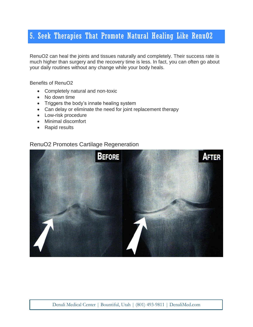# 5. Seek Therapies That Promote Natural Healing Like RenuO2

RenuO2 can heal the joints and tissues naturally and completely. Their success rate is much higher than surgery and the recovery time is less. In fact, you can often go about your daily routines without any change while your body heals.

Benefits of RenuO2

- Completely natural and non-toxic
- No down time
- Triggers the body's innate healing system
- Can delay or eliminate the need for joint replacement therapy
- Low-risk procedure
- Minimal discomfort
- Rapid results

#### RenuO2 Promotes Cartilage Regeneration

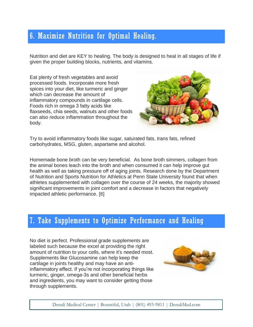# 6. Maximize Nutrition for Optimal Healing.

Nutrition and diet are KEY to healing. The body is designed to heal in all stages of life if given the proper building blocks, nutrients, and vitamins.

Eat plenty of fresh vegetables and avoid processed foods. Incorporate more fresh spices into your diet, like turmeric and ginger which can decrease the amount of inflammatory compounds in cartilage cells. Foods rich in omega 3 fatty acids like flaxseeds, chia seeds, walnuts and other foods can also reduce inflammation throughout the body.



Try to avoid inflammatory foods like sugar, saturated fats, trans fats, refined carbohydrates, MSG, gluten, aspartame and alcohol.

Homemade bone broth can be very beneficial. As bone broth simmers, collagen from the animal bones leach into the broth and when consumed it can help improve gut health as well as taking pressure off of aging joints. Research done by the Department of Nutrition and Sports Nutrition for Athletics at Penn State University found that when athletes supplemented with collagen over the course of 24 weeks, the majority showed significant improvements in joint comfort and a decrease in factors that negatively impacted athletic performance. [6]

### 7. Take Supplements to Optimize Performance and Healing

No diet is perfect. Professional grade supplements are labeled such because the excel at providing the right amount of nutrition to your cells, where it's needed most. Supplements like Glucosamine can help keep the cartilage in joints healthy and may have an antiinflammatory effect. If you're not incorporating things like turmeric, ginger, omega-3s and other beneficial herbs and ingredients, you may want to consider getting those through supplements.

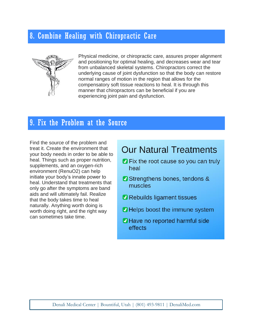# 8. Combine Healing with Chiropractic Care



Physical medicine, or chiropractic care, assures proper alignment and positioning for optimal healing, and decreases wear and tear from unbalanced skeletal systems. Chiropractors correct the underlying cause of joint dysfunction so that the body can restore normal ranges of motion in the region that allows for the compensatory soft tissue reactions to heal. It is through this manner that chiropractors can be beneficial if you are experiencing joint pain and dysfunction.

# 9. Fix the Problem at the Source

Find the source of the problem and treat it. Create the environment that your body needs in order to be able to heal. Things such as proper nutrition, supplements, and an oxygen-rich environment (RenuO2) can help initiate your body's innate power to heal. Understand that treatments that only go after the symptoms are band aids and will ultimately fail. Realize that the body takes time to heal naturally. Anything worth doing is worth doing right, and the right way can sometimes take time.

# **Our Natural Treatments**

- **O** Fix the root cause so you can truly heal
- Strengthens bones, tendons & muscles
- Rebuilds ligament tissues
- **2** Helps boost the immune system
- **2** Have no reported harmful side effects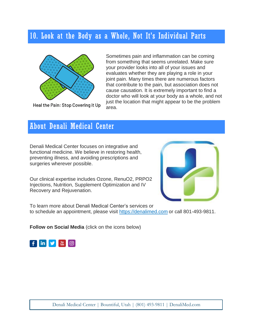# 10. Look at the Body as a Whole, Not It's Individual Parts



Sometimes pain and inflammation can be coming from something that seems unrelated. Make sure your provider looks into all of your issues and evaluates whether they are playing a role in your joint pain. Many times there are numerous factors that contribute to the pain, but association does not cause causation. It is extremely important to find a doctor who will look at your body as a whole, and not just the location that might appear to be the problem area.

Heal the Pain: Stop Covering it Up

# About Denali Medical Center

Denali Medical Center focuses on integrative and functional medicine. We believe in restoring health, preventing illness, and avoiding prescriptions and surgeries wherever possible.

Our clinical expertise includes Ozone, RenuO2, PRPO2 Injections, Nutrition, Supplement Optimization and IV Recovery and Rejuvenation.



To learn more about Denali Medical Center's services or to schedule an appointment, please visit [https://denalimed.com](https://denalimed.com/) or call 801-493-9811.

**Follow on Social Media** (click on the icons below)